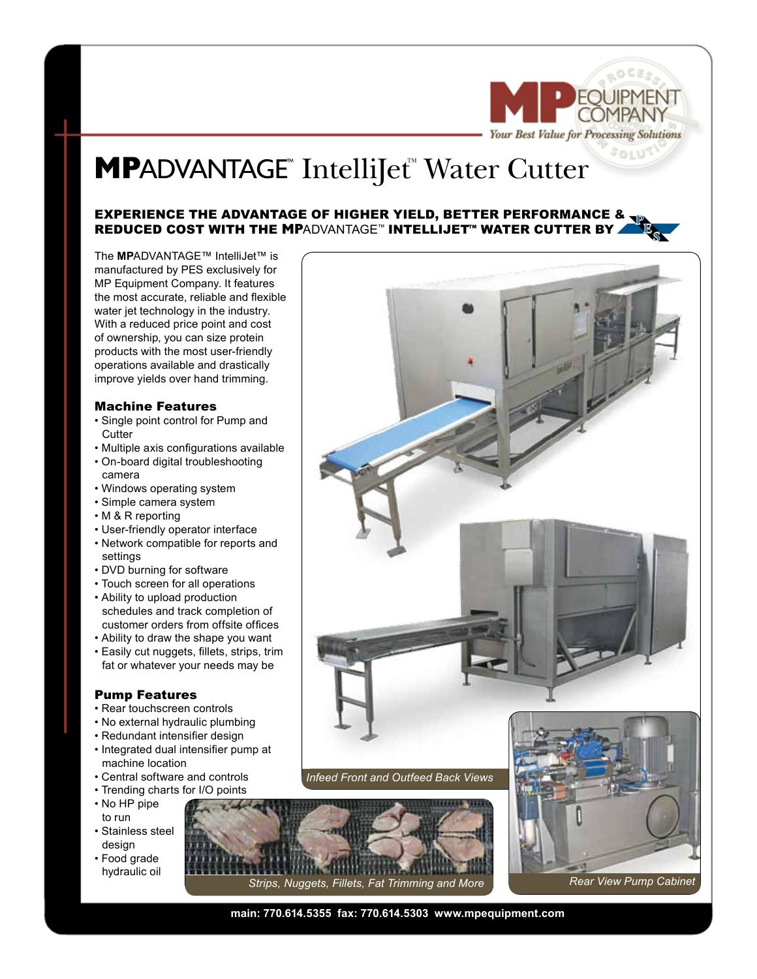

# **MPADVANTAGE<sup>™</sup>** IntelliJet<sup>™</sup> Water Cutter

## EXPERIENCE THE ADVANTAGE OF HIGHER YIELD, BETTER PERFORMANCE &  $\mathbf{v}$ REDUCED COST WITH THE **MP**ADVANTAGE™ INTELLIJET™ WATER CUTTER BY

The **MP**ADVANTAGE™ IntelliJet™ is manufactured by PES exclusively for MP Equipment Company. It features the most accurate, reliable and flexible water jet technology in the industry. With a reduced price point and cost of ownership, you can size protein products with the most user-friendly operations available and drastically improve yields over hand trimming.

#### Machine Features

- Single point control for Pump and **Cutter**
- Multiple axis configurations available
- On-board digital troubleshooting camera
- Windows operating system
- Simple camera system
- M & R reporting
- User-friendly operator interface
- Network compatible for reports and settings
- DVD burning for software
- Touch screen for all operations
- Ability to upload production schedules and track completion of customer orders from offsite offices
- Ability to draw the shape you want • Easily cut nuggets, fillets, strips, trim fat or whatever your needs may be

### Pump Features

- Rear touchscreen controls
- No external hydraulic plumbing
- Redundant intensifier design
- Integrated dual intensifier pump at machine location
- Central software and controls
- Trending charts for I/O points
- No HP pipe to run
- Stainless steel design
- Food grade hydraulic oil



*Strips, Nuggets, Fillets, Fat Trimming and More Rear View Pump Cabinet*

**main: 770.614.5355 fax: 770.614.5303 www.mpequipment.com**